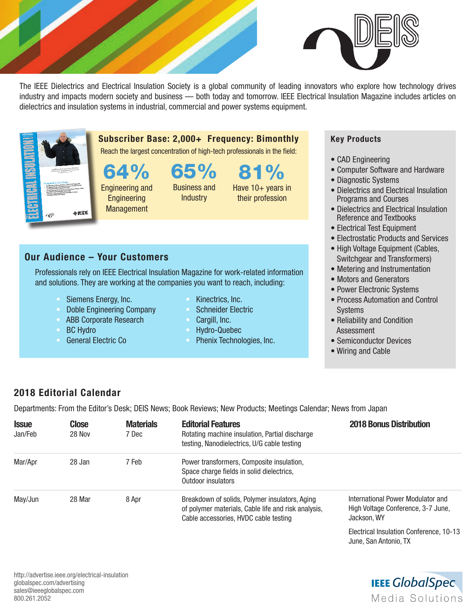

The IEEE Dielectrics and Electrical Insulation Society is a global community of leading innovators who explore how technology drives industry and impacts modern society and business — both today and tomorrow. IEEE Electrical Insulation Magazine includes articles on dielectrics and insulation systems in industrial, commercial and power systems equipment.



Subscriber Base: 2,000+ Frequency: Bimonthly Reach the largest concentration of high-tech professionals in the field:

64% 65%

Engineering and **Engineering Management** Business and **Industry** 

81% Have 10+ years in their profession

## Our Audience – Your Customers

Professionals rely on IEEE Electrical Insulation Magazine for work-related information and solutions. They are working at the companies you want to reach, including:

- Siemens Energy, Inc.
- Doble Engineering Company
- ABB Corporate Research
- **BC Hydro**
- General Electric Co
- Kinectrics, Inc.
- Schneider Electric
- Cargill, Inc.
- Hydro-Quebec
- Phenix Technologies, Inc.

## Key Products

- CAD Engineering
- Computer Software and Hardware
- Diagnostic Systems
- Dielectrics and Electrical Insulation Programs and Courses
- Dielectrics and Electrical Insulation Reference and Textbooks
- Electrical Test Equipment
- Electrostatic Products and Services
- High Voltage Equipment (Cables, Switchgear and Transformers)
- Metering and Instrumentation
- Motors and Generators
- Power Electronic Systems
- Process Automation and Control Systems
- Reliability and Condition Assessment
- Semiconductor Devices
- Wiring and Cable

## 2018 Editorial Calendar

Departments: From the Editor's Desk; DEIS News; Book Reviews; New Products; Meetings Calendar; News from Japan

| <b>Issue</b><br>Jan/Feb | <b>Close</b><br>28 Nov | <b>Materials</b><br>7 Dec | <b>Editorial Features</b><br>Rotating machine insulation, Partial discharge<br>testing, Nanodielectrics, U/G cable testing                     | <b>2018 Bonus Distribution</b>                                                         |
|-------------------------|------------------------|---------------------------|------------------------------------------------------------------------------------------------------------------------------------------------|----------------------------------------------------------------------------------------|
| Mar/Apr                 | 28 Jan                 | 7 Feb                     | Power transformers, Composite insulation,<br>Space charge fields in solid dielectrics,<br>Outdoor insulators                                   |                                                                                        |
| May/Jun                 | 28 Mar                 | 8 Apr                     | Breakdown of solids, Polymer insulators, Aging<br>of polymer materials, Cable life and risk analysis,<br>Cable accessories, HVDC cable testing | International Power Modulator and<br>High Voltage Conference, 3-7 June,<br>Jackson, WY |
|                         |                        |                           |                                                                                                                                                | Flootrical Inquirian Conference 10.19                                                  |

Electrical Insulation Conference, 10-13 June, San Antonio, TX